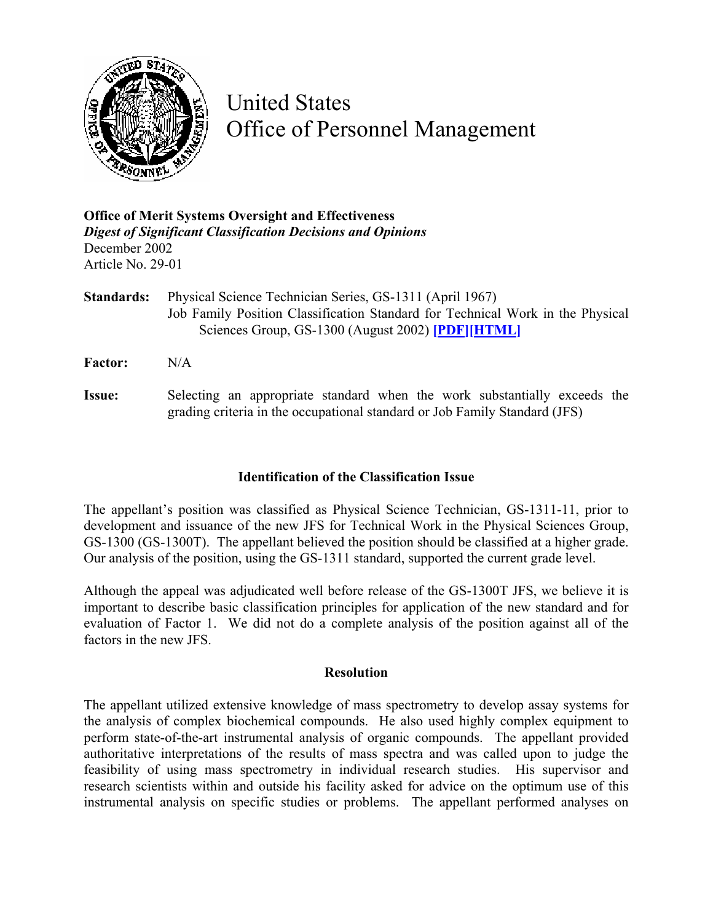

# United States Office of Personnel Management

## **Office of Merit Systems Oversight and Effectiveness**  *Digest of Significant Classification Decisions and Opinions* December 2002 Article No. 29-01

- **Standards:** Physical Science Technician Series, GS-1311 (April 1967) Job Family Position Classification Standard for Technical Work in the Physical Sciences Group, GS-1300 (August 2002) **[\[PDF\]](http://www.opm.gov/fedclass/gs1300T.pdf)[\[HTML\]](http://www.opm.gov/fedclass/1300T/cover.asp)**
- **Factor:** N/A
- **Issue:** Selecting an appropriate standard when the work substantially exceeds the grading criteria in the occupational standard or Job Family Standard (JFS)

### **Identification of the Classification Issue**

The appellant's position was classified as Physical Science Technician, GS-1311-11, prior to development and issuance of the new JFS for Technical Work in the Physical Sciences Group, GS-1300 (GS-1300T). The appellant believed the position should be classified at a higher grade. Our analysis of the position, using the GS-1311 standard, supported the current grade level.

Although the appeal was adjudicated well before release of the GS-1300T JFS, we believe it is important to describe basic classification principles for application of the new standard and for evaluation of Factor 1. We did not do a complete analysis of the position against all of the factors in the new JFS.

#### **Resolution**

The appellant utilized extensive knowledge of mass spectrometry to develop assay systems for the analysis of complex biochemical compounds. He also used highly complex equipment to perform state-of-the-art instrumental analysis of organic compounds. The appellant provided authoritative interpretations of the results of mass spectra and was called upon to judge the feasibility of using mass spectrometry in individual research studies. His supervisor and research scientists within and outside his facility asked for advice on the optimum use of this instrumental analysis on specific studies or problems. The appellant performed analyses on